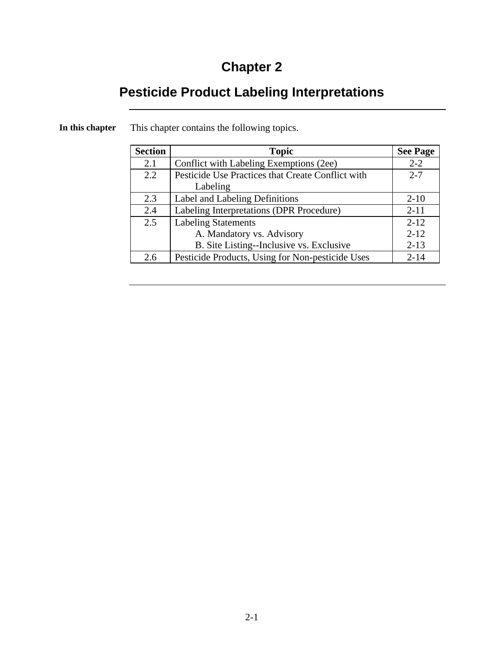# **Chapter 2**

# **Pesticide Product Labeling Interpretations**

| <b>Section</b> | <b>Topic</b>                                      | <b>See Page</b> |
|----------------|---------------------------------------------------|-----------------|
| 2.1            | Conflict with Labeling Exemptions (2ee)           | $2 - 2$         |
| 2.2            | Pesticide Use Practices that Create Conflict with | $2 - 7$         |
|                | Labeling                                          |                 |
| 2.3            | Label and Labeling Definitions                    | $2-10$          |
| 2.4            | Labeling Interpretations (DPR Procedure)          | $2 - 11$        |
| 2.5            | <b>Labeling Statements</b>                        | $2 - 12$        |
|                | A. Mandatory vs. Advisory                         | $2 - 12$        |
|                | B. Site Listing--Inclusive vs. Exclusive          | $2 - 13$        |
| 2.6            | Pesticide Products, Using for Non-pesticide Uses  | $2 - 14$        |

**In this chapter** This chapter contains the following topics.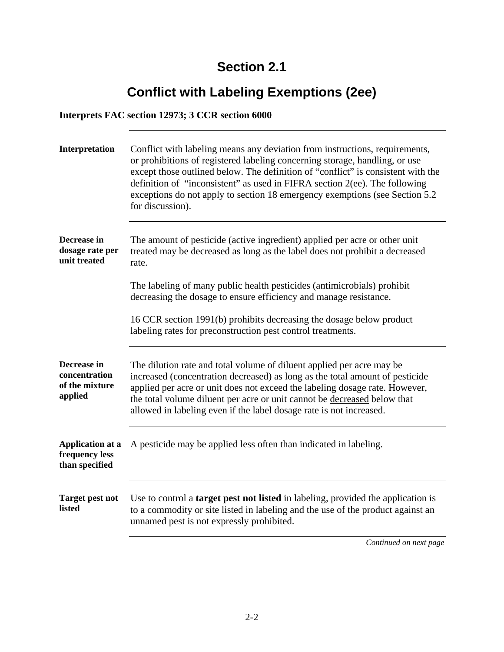## **Conflict with Labeling Exemptions (2ee)**

#### **Interprets FAC section 12973; 3 CCR section 6000**

| Interpretation                                              | Conflict with labeling means any deviation from instructions, requirements,<br>or prohibitions of registered labeling concerning storage, handling, or use<br>except those outlined below. The definition of "conflict" is consistent with the<br>definition of "inconsistent" as used in FIFRA section 2(ee). The following<br>exceptions do not apply to section 18 emergency exemptions (see Section 5.2)<br>for discussion). |
|-------------------------------------------------------------|----------------------------------------------------------------------------------------------------------------------------------------------------------------------------------------------------------------------------------------------------------------------------------------------------------------------------------------------------------------------------------------------------------------------------------|
| Decrease in<br>dosage rate per<br>unit treated              | The amount of pesticide (active ingredient) applied per acre or other unit<br>treated may be decreased as long as the label does not prohibit a decreased<br>rate.                                                                                                                                                                                                                                                               |
|                                                             | The labeling of many public health pesticides (antimicrobials) prohibit<br>decreasing the dosage to ensure efficiency and manage resistance.                                                                                                                                                                                                                                                                                     |
|                                                             | 16 CCR section 1991(b) prohibits decreasing the dosage below product<br>labeling rates for preconstruction pest control treatments.                                                                                                                                                                                                                                                                                              |
| Decrease in<br>concentration<br>of the mixture<br>applied   | The dilution rate and total volume of diluent applied per acre may be<br>increased (concentration decreased) as long as the total amount of pesticide<br>applied per acre or unit does not exceed the labeling dosage rate. However,<br>the total volume diluent per acre or unit cannot be decreased below that<br>allowed in labeling even if the label dosage rate is not increased.                                          |
| <b>Application at a</b><br>frequency less<br>than specified | A pesticide may be applied less often than indicated in labeling.                                                                                                                                                                                                                                                                                                                                                                |
| <b>Target pest not</b><br>listed                            | Use to control a <b>target pest not listed</b> in labeling, provided the application is<br>to a commodity or site listed in labeling and the use of the product against an<br>unnamed pest is not expressly prohibited.                                                                                                                                                                                                          |
|                                                             | Continued on next page                                                                                                                                                                                                                                                                                                                                                                                                           |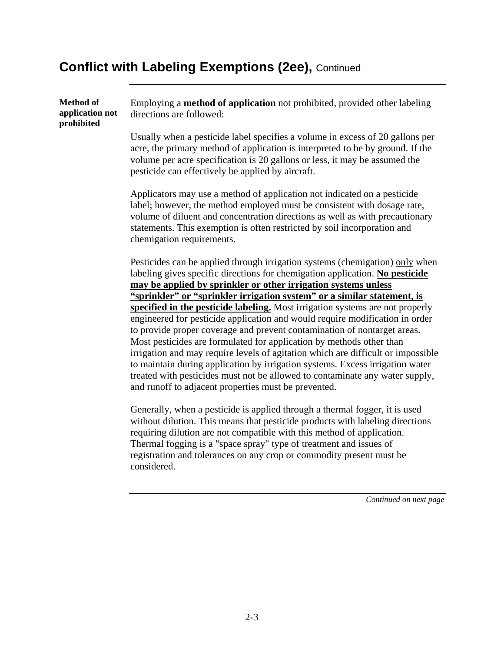| Method of<br>application not<br>prohibited | Employing a method of application not prohibited, provided other labeling<br>directions are followed:                                                                                                                                                                                                                                                                                                                                                                                                                                                                                                                          |
|--------------------------------------------|--------------------------------------------------------------------------------------------------------------------------------------------------------------------------------------------------------------------------------------------------------------------------------------------------------------------------------------------------------------------------------------------------------------------------------------------------------------------------------------------------------------------------------------------------------------------------------------------------------------------------------|
|                                            | Usually when a pesticide label specifies a volume in excess of 20 gallons per<br>acre, the primary method of application is interpreted to be by ground. If the<br>volume per acre specification is 20 gallons or less, it may be assumed the<br>pesticide can effectively be applied by aircraft.                                                                                                                                                                                                                                                                                                                             |
|                                            | Applicators may use a method of application not indicated on a pesticide<br>label; however, the method employed must be consistent with dosage rate,<br>volume of diluent and concentration directions as well as with precautionary<br>statements. This exemption is often restricted by soil incorporation and<br>chemigation requirements.                                                                                                                                                                                                                                                                                  |
|                                            | Pesticides can be applied through irrigation systems (chemigation) only when<br>labeling gives specific directions for chemigation application. No pesticide<br>may be applied by sprinkler or other irrigation systems unless                                                                                                                                                                                                                                                                                                                                                                                                 |
|                                            | "sprinkler" or "sprinkler irrigation system" or a similar statement, is                                                                                                                                                                                                                                                                                                                                                                                                                                                                                                                                                        |
|                                            | specified in the pesticide labeling. Most irrigation systems are not properly<br>engineered for pesticide application and would require modification in order<br>to provide proper coverage and prevent contamination of nontarget areas.<br>Most pesticides are formulated for application by methods other than<br>irrigation and may require levels of agitation which are difficult or impossible<br>to maintain during application by irrigation systems. Excess irrigation water<br>treated with pesticides must not be allowed to contaminate any water supply,<br>and runoff to adjacent properties must be prevented. |
|                                            | Generally, when a pesticide is applied through a thermal fogger, it is used<br>without dilution. This means that pesticide products with labeling directions<br>requiring dilution are not compatible with this method of application.<br>Thermal fogging is a "space spray" type of treatment and issues of<br>registration and tolerances on any crop or commodity present must be<br>considered.                                                                                                                                                                                                                            |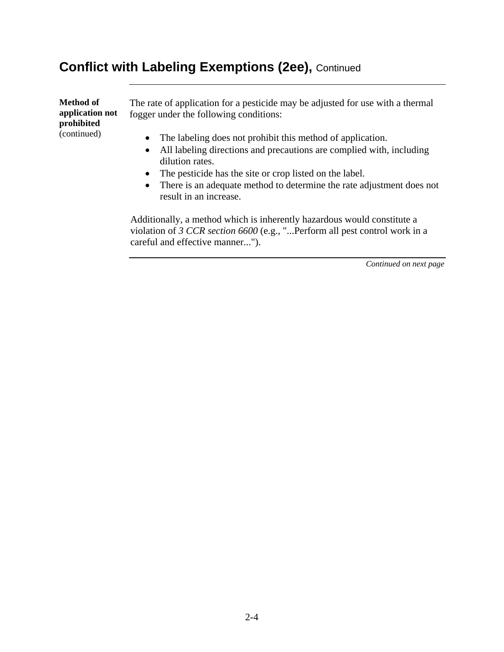| Method of<br>application not<br>prohibited<br>(continued) | The rate of application for a pesticide may be adjusted for use with a thermal<br>fogger under the following conditions:                                                             |
|-----------------------------------------------------------|--------------------------------------------------------------------------------------------------------------------------------------------------------------------------------------|
|                                                           | The labeling does not prohibit this method of application.<br>$\bullet$<br>All labeling directions and precautions are complied with, including<br>$\bullet$<br>dilution rates.      |
|                                                           | The pesticide has the site or crop listed on the label.<br>$\bullet$<br>There is an adequate method to determine the rate adjustment does not<br>$\bullet$<br>result in an increase. |

Additionally, a method which is inherently hazardous would constitute a violation of *3 CCR section 6600* (e.g., "...Perform all pest control work in a careful and effective manner...").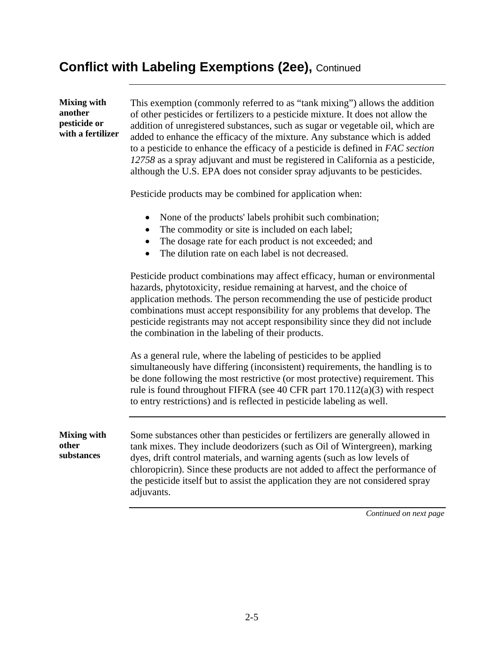| <b>Mixing with</b><br>another<br>pesticide or<br>with a fertilizer | This exemption (commonly referred to as "tank mixing") allows the addition<br>of other pesticides or fertilizers to a pesticide mixture. It does not allow the<br>addition of unregistered substances, such as sugar or vegetable oil, which are<br>added to enhance the efficacy of the mixture. Any substance which is added<br>to a pesticide to enhance the efficacy of a pesticide is defined in FAC section<br>12758 as a spray adjuvant and must be registered in California as a pesticide,<br>although the U.S. EPA does not consider spray adjuvants to be pesticides. |
|--------------------------------------------------------------------|----------------------------------------------------------------------------------------------------------------------------------------------------------------------------------------------------------------------------------------------------------------------------------------------------------------------------------------------------------------------------------------------------------------------------------------------------------------------------------------------------------------------------------------------------------------------------------|
|                                                                    | Pesticide products may be combined for application when:                                                                                                                                                                                                                                                                                                                                                                                                                                                                                                                         |
|                                                                    | None of the products' labels prohibit such combination;<br>$\bullet$<br>The commodity or site is included on each label;<br>The dosage rate for each product is not exceeded; and<br>The dilution rate on each label is not decreased.<br>$\bullet$                                                                                                                                                                                                                                                                                                                              |
|                                                                    | Pesticide product combinations may affect efficacy, human or environmental<br>hazards, phytotoxicity, residue remaining at harvest, and the choice of<br>application methods. The person recommending the use of pesticide product<br>combinations must accept responsibility for any problems that develop. The<br>pesticide registrants may not accept responsibility since they did not include<br>the combination in the labeling of their products.                                                                                                                         |
|                                                                    | As a general rule, where the labeling of pesticides to be applied<br>simultaneously have differing (inconsistent) requirements, the handling is to<br>be done following the most restrictive (or most protective) requirement. This<br>rule is found throughout FIFRA (see 40 CFR part 170.112(a)(3) with respect<br>to entry restrictions) and is reflected in pesticide labeling as well.                                                                                                                                                                                      |
| <b>Mixing with</b><br>other<br>substances                          | Some substances other than pesticides or fertilizers are generally allowed in<br>tank mixes. They include deodorizers (such as Oil of Wintergreen), marking<br>dyes, drift control materials, and warning agents (such as low levels of<br>chloropicrin). Since these products are not added to affect the performance of<br>the pesticide itself but to assist the application they are not considered spray<br>adjuvants.                                                                                                                                                      |
|                                                                    | Continued on next page                                                                                                                                                                                                                                                                                                                                                                                                                                                                                                                                                           |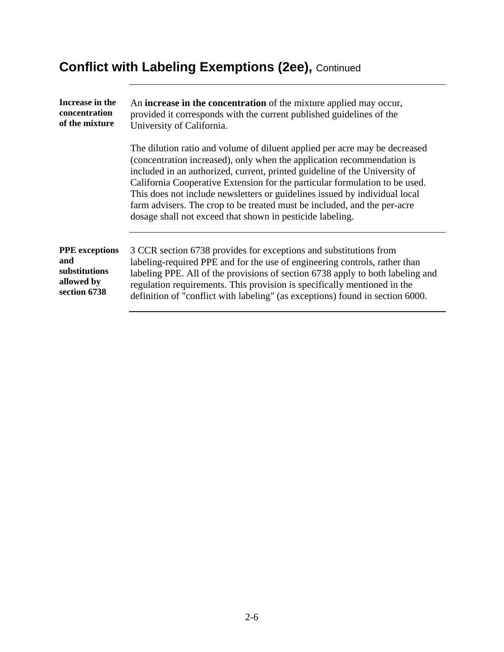| Increase in the       | An <b>increase in the concentration</b> of the mixture applied may occur,                                                                                                                                                                                                                                                                                                                                                                                                                                                                |
|-----------------------|------------------------------------------------------------------------------------------------------------------------------------------------------------------------------------------------------------------------------------------------------------------------------------------------------------------------------------------------------------------------------------------------------------------------------------------------------------------------------------------------------------------------------------------|
| concentration         | provided it corresponds with the current published guidelines of the                                                                                                                                                                                                                                                                                                                                                                                                                                                                     |
| of the mixture        | University of California.                                                                                                                                                                                                                                                                                                                                                                                                                                                                                                                |
|                       | The dilution ratio and volume of diluent applied per acre may be decreased<br>(concentration increased), only when the application recommendation is<br>included in an authorized, current, printed guideline of the University of<br>California Cooperative Extension for the particular formulation to be used.<br>This does not include newsletters or guidelines issued by individual local<br>farm advisers. The crop to be treated must be included, and the per-acre<br>dosage shall not exceed that shown in pesticide labeling. |
| <b>PPE</b> exceptions | 3 CCR section 6738 provides for exceptions and substitutions from                                                                                                                                                                                                                                                                                                                                                                                                                                                                        |
| and                   | labeling-required PPE and for the use of engineering controls, rather than                                                                                                                                                                                                                                                                                                                                                                                                                                                               |
| substitutions         | labeling PPE. All of the provisions of section 6738 apply to both labeling and                                                                                                                                                                                                                                                                                                                                                                                                                                                           |
| allowed by            | regulation requirements. This provision is specifically mentioned in the                                                                                                                                                                                                                                                                                                                                                                                                                                                                 |
| section 6738          | definition of "conflict with labeling" (as exceptions) found in section 6000.                                                                                                                                                                                                                                                                                                                                                                                                                                                            |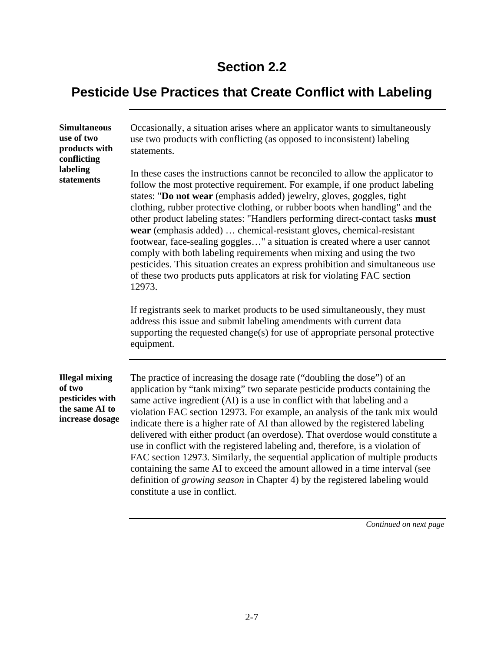# **Pesticide Use Practices that Create Conflict with Labeling**

| <b>Simultaneous</b><br>use of two<br>products with<br>conflicting<br>labeling<br>statements | Occasionally, a situation arises where an applicator wants to simultaneously<br>use two products with conflicting (as opposed to inconsistent) labeling<br>statements.                                                                                                                                                                                                                                                                                                                                                                                                                                                                                                                                                                                                                                                                                       |
|---------------------------------------------------------------------------------------------|--------------------------------------------------------------------------------------------------------------------------------------------------------------------------------------------------------------------------------------------------------------------------------------------------------------------------------------------------------------------------------------------------------------------------------------------------------------------------------------------------------------------------------------------------------------------------------------------------------------------------------------------------------------------------------------------------------------------------------------------------------------------------------------------------------------------------------------------------------------|
|                                                                                             | In these cases the instructions cannot be reconciled to allow the applicator to<br>follow the most protective requirement. For example, if one product labeling<br>states: "Do not wear (emphasis added) jewelry, gloves, goggles, tight<br>clothing, rubber protective clothing, or rubber boots when handling" and the<br>other product labeling states: "Handlers performing direct-contact tasks must<br>wear (emphasis added)  chemical-resistant gloves, chemical-resistant<br>footwear, face-sealing goggles" a situation is created where a user cannot<br>comply with both labeling requirements when mixing and using the two<br>pesticides. This situation creates an express prohibition and simultaneous use<br>of these two products puts applicators at risk for violating FAC section<br>12973.                                              |
|                                                                                             | If registrants seek to market products to be used simultaneously, they must<br>address this issue and submit labeling amendments with current data<br>supporting the requested change(s) for use of appropriate personal protective<br>equipment.                                                                                                                                                                                                                                                                                                                                                                                                                                                                                                                                                                                                            |
| <b>Illegal mixing</b><br>of two<br>pesticides with<br>the same AI to<br>increase dosage     | The practice of increasing the dosage rate ("doubling the dose") of an<br>application by "tank mixing" two separate pesticide products containing the<br>same active ingredient (AI) is a use in conflict with that labeling and a<br>violation FAC section 12973. For example, an analysis of the tank mix would<br>indicate there is a higher rate of AI than allowed by the registered labeling<br>delivered with either product (an overdose). That overdose would constitute a<br>use in conflict with the registered labeling and, therefore, is a violation of<br>FAC section 12973. Similarly, the sequential application of multiple products<br>containing the same AI to exceed the amount allowed in a time interval (see<br>definition of <i>growing season</i> in Chapter 4) by the registered labeling would<br>constitute a use in conflict. |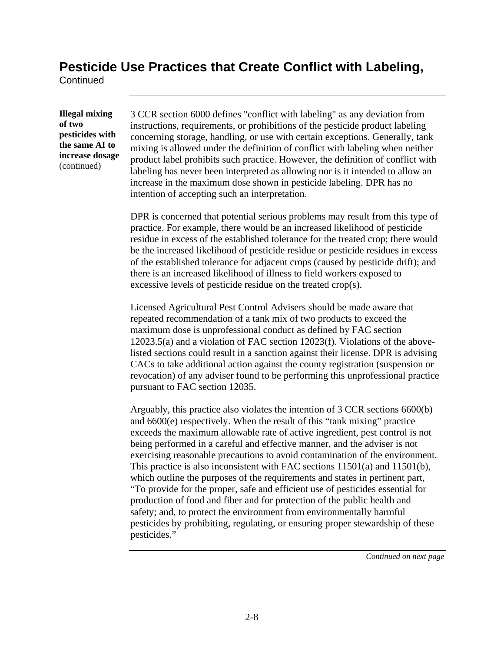#### **Pesticide Use Practices that Create Conflict with Labeling,**

**Continued** 

**Illegal mixing of two pesticides with the same AI to increase dosage**  (continued)

3 CCR section 6000 defines "conflict with labeling" as any deviation from instructions, requirements, or prohibitions of the pesticide product labeling concerning storage, handling, or use with certain exceptions. Generally, tank mixing is allowed under the definition of conflict with labeling when neither product label prohibits such practice. However, the definition of conflict with labeling has never been interpreted as allowing nor is it intended to allow an increase in the maximum dose shown in pesticide labeling. DPR has no intention of accepting such an interpretation.

DPR is concerned that potential serious problems may result from this type of practice. For example, there would be an increased likelihood of pesticide residue in excess of the established tolerance for the treated crop; there would be the increased likelihood of pesticide residue or pesticide residues in excess of the established tolerance for adjacent crops (caused by pesticide drift); and there is an increased likelihood of illness to field workers exposed to excessive levels of pesticide residue on the treated crop(s).

Licensed Agricultural Pest Control Advisers should be made aware that repeated recommendation of a tank mix of two products to exceed the maximum dose is unprofessional conduct as defined by FAC section 12023.5(a) and a violation of FAC section 12023(f). Violations of the abovelisted sections could result in a sanction against their license. DPR is advising CACs to take additional action against the county registration (suspension or revocation) of any adviser found to be performing this unprofessional practice pursuant to FAC section 12035.

Arguably, this practice also violates the intention of 3 CCR sections 6600(b) and 6600(e) respectively. When the result of this "tank mixing" practice exceeds the maximum allowable rate of active ingredient, pest control is not being performed in a careful and effective manner, and the adviser is not exercising reasonable precautions to avoid contamination of the environment. This practice is also inconsistent with FAC sections 11501(a) and 11501(b), which outline the purposes of the requirements and states in pertinent part, "To provide for the proper, safe and efficient use of pesticides essential for production of food and fiber and for protection of the public health and safety; and, to protect the environment from environmentally harmful pesticides by prohibiting, regulating, or ensuring proper stewardship of these pesticides."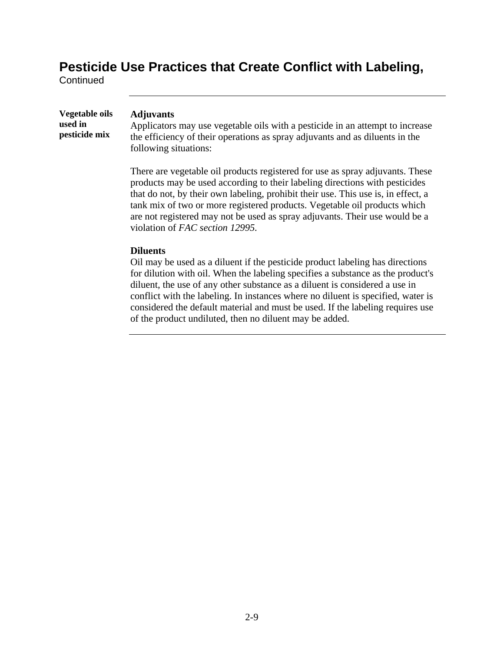#### **Pesticide Use Practices that Create Conflict with Labeling,**

**Continued** 

There are vegetable oil products registered for use as spray adjuvants. These products may be used according to their labeling directions with pesticides that do not, by their own labeling, prohibit their use. This use is, in effect, a tank mix of two or more registered products. Vegetable oil products which are not registered may not be used as spray adjuvants. Their use would be a violation of *FAC section 12995.* 

#### **Diluents**

Oil may be used as a diluent if the pesticide product labeling has directions for dilution with oil. When the labeling specifies a substance as the product's diluent, the use of any other substance as a diluent is considered a use in conflict with the labeling. In instances where no diluent is specified, water is considered the default material and must be used. If the labeling requires use of the product undiluted, then no diluent may be added.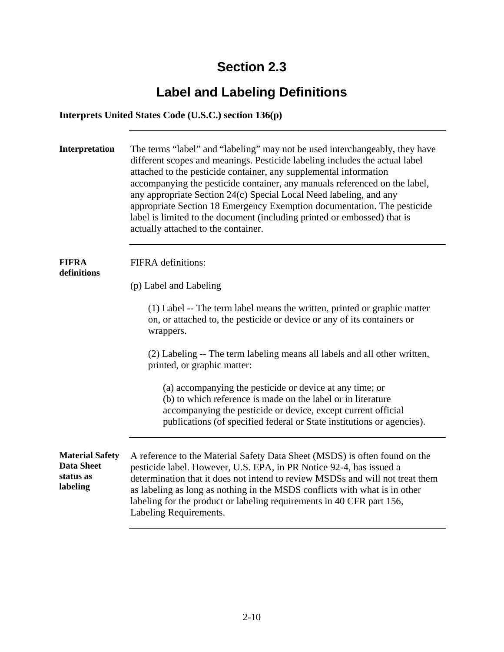## **Label and Labeling Definitions**

#### **Interprets United States Code (U.S.C.) section 136(p)**

| Interpretation                                                       | The terms "label" and "labeling" may not be used interchangeably, they have<br>different scopes and meanings. Pesticide labeling includes the actual label<br>attached to the pesticide container, any supplemental information<br>accompanying the pesticide container, any manuals referenced on the label,<br>any appropriate Section 24(c) Special Local Need labeling, and any<br>appropriate Section 18 Emergency Exemption documentation. The pesticide<br>label is limited to the document (including printed or embossed) that is<br>actually attached to the container. |
|----------------------------------------------------------------------|-----------------------------------------------------------------------------------------------------------------------------------------------------------------------------------------------------------------------------------------------------------------------------------------------------------------------------------------------------------------------------------------------------------------------------------------------------------------------------------------------------------------------------------------------------------------------------------|
| <b>FIFRA</b><br>definitions                                          | <b>FIFRA</b> definitions:                                                                                                                                                                                                                                                                                                                                                                                                                                                                                                                                                         |
|                                                                      | (p) Label and Labeling                                                                                                                                                                                                                                                                                                                                                                                                                                                                                                                                                            |
|                                                                      | (1) Label -- The term label means the written, printed or graphic matter<br>on, or attached to, the pesticide or device or any of its containers or<br>wrappers.                                                                                                                                                                                                                                                                                                                                                                                                                  |
|                                                                      | (2) Labeling -- The term labeling means all labels and all other written,<br>printed, or graphic matter:                                                                                                                                                                                                                                                                                                                                                                                                                                                                          |
|                                                                      | (a) accompanying the pesticide or device at any time; or<br>(b) to which reference is made on the label or in literature<br>accompanying the pesticide or device, except current official<br>publications (of specified federal or State institutions or agencies).                                                                                                                                                                                                                                                                                                               |
| <b>Material Safety</b><br><b>Data Sheet</b><br>status as<br>labeling | A reference to the Material Safety Data Sheet (MSDS) is often found on the<br>pesticide label. However, U.S. EPA, in PR Notice 92-4, has issued a<br>determination that it does not intend to review MSDSs and will not treat them<br>as labeling as long as nothing in the MSDS conflicts with what is in other<br>labeling for the product or labeling requirements in 40 CFR part 156,<br>Labeling Requirements.                                                                                                                                                               |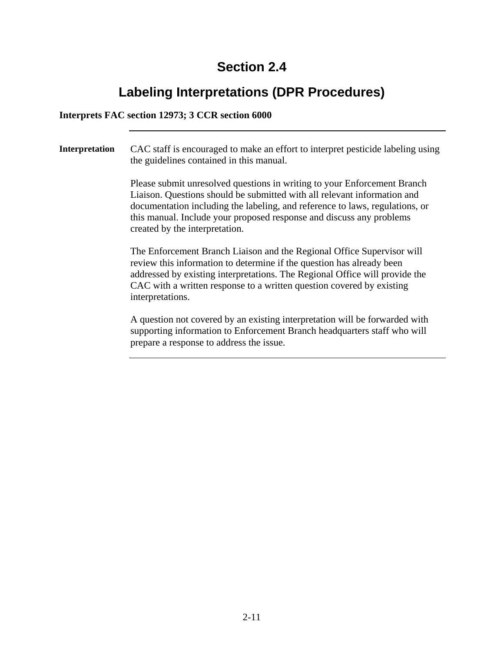## **Labeling Interpretations (DPR Procedures)**

#### **Interprets FAC section 12973; 3 CCR section 6000**

**Interpretation** CAC staff is encouraged to make an effort to interpret pesticide labeling using the guidelines contained in this manual.

> Please submit unresolved questions in writing to your Enforcement Branch Liaison. Questions should be submitted with all relevant information and documentation including the labeling, and reference to laws, regulations, or this manual. Include your proposed response and discuss any problems created by the interpretation.

The Enforcement Branch Liaison and the Regional Office Supervisor will review this information to determine if the question has already been addressed by existing interpretations. The Regional Office will provide the CAC with a written response to a written question covered by existing interpretations.

A question not covered by an existing interpretation will be forwarded with supporting information to Enforcement Branch headquarters staff who will prepare a response to address the issue.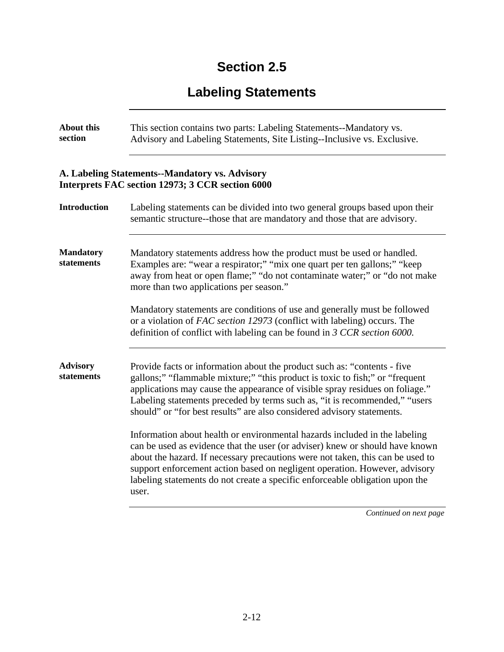# **Labeling Statements**

| <b>About this</b><br>section   | This section contains two parts: Labeling Statements--Mandatory vs.<br>Advisory and Labeling Statements, Site Listing--Inclusive vs. Exclusive.                                                                                                                                                                                                                                                                     |
|--------------------------------|---------------------------------------------------------------------------------------------------------------------------------------------------------------------------------------------------------------------------------------------------------------------------------------------------------------------------------------------------------------------------------------------------------------------|
|                                | A. Labeling Statements--Mandatory vs. Advisory<br>Interprets FAC section 12973; 3 CCR section 6000                                                                                                                                                                                                                                                                                                                  |
| <b>Introduction</b>            | Labeling statements can be divided into two general groups based upon their<br>semantic structure--those that are mandatory and those that are advisory.                                                                                                                                                                                                                                                            |
| <b>Mandatory</b><br>statements | Mandatory statements address how the product must be used or handled.<br>Examples are: "wear a respirator;" "mix one quart per ten gallons;" "keep<br>away from heat or open flame;" "do not contaminate water;" or "do not make<br>more than two applications per season."                                                                                                                                         |
|                                | Mandatory statements are conditions of use and generally must be followed<br>or a violation of FAC section 12973 (conflict with labeling) occurs. The<br>definition of conflict with labeling can be found in 3 CCR section 6000.                                                                                                                                                                                   |
| <b>Advisory</b><br>statements  | Provide facts or information about the product such as: "contents - five<br>gallons;" "flammable mixture;" "this product is toxic to fish;" or "frequent<br>applications may cause the appearance of visible spray residues on foliage."<br>Labeling statements preceded by terms such as, "it is recommended," "users<br>should" or "for best results" are also considered advisory statements.                    |
|                                | Information about health or environmental hazards included in the labeling<br>can be used as evidence that the user (or adviser) knew or should have known<br>about the hazard. If necessary precautions were not taken, this can be used to<br>support enforcement action based on negligent operation. However, advisory<br>labeling statements do not create a specific enforceable obligation upon the<br>user. |
|                                | Continued on next page                                                                                                                                                                                                                                                                                                                                                                                              |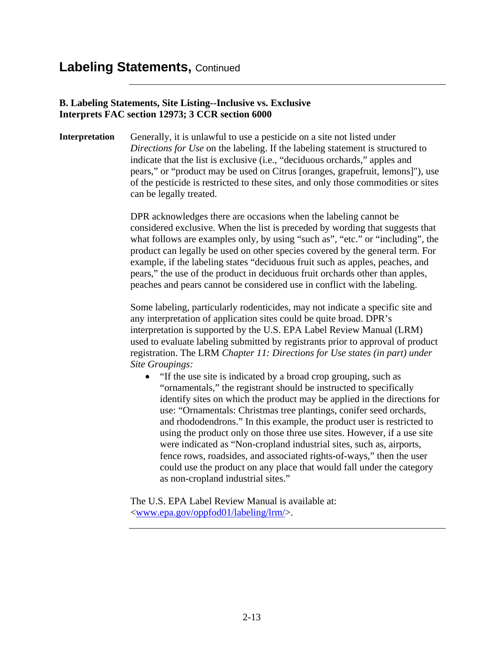#### **Labeling Statements, Continued**

#### **B. Labeling Statements, Site Listing--Inclusive vs. Exclusive Interprets FAC section 12973; 3 CCR section 6000**

**Interpretation** Generally, it is unlawful to use a pesticide on a site not listed under *Directions for Use* on the labeling. If the labeling statement is structured to indicate that the list is exclusive (i.e., "deciduous orchards," apples and pears," or "product may be used on Citrus [oranges, grapefruit, lemons]"), use of the pesticide is restricted to these sites, and only those commodities or sites can be legally treated.

> DPR acknowledges there are occasions when the labeling cannot be considered exclusive. When the list is preceded by wording that suggests that what follows are examples only, by using "such as", "etc." or "including", the product can legally be used on other species covered by the general term. For example, if the labeling states "deciduous fruit such as apples, peaches, and pears," the use of the product in deciduous fruit orchards other than apples, peaches and pears cannot be considered use in conflict with the labeling.

> Some labeling, particularly rodenticides, may not indicate a specific site and any interpretation of application sites could be quite broad. DPR's interpretation is supported by the U.S. EPA Label Review Manual (LRM) used to evaluate labeling submitted by registrants prior to approval of product registration. The LRM *Chapter 11: Directions for Use states (in part) under Site Groupings:*

• "If the use site is indicated by a broad crop grouping, such as "ornamentals," the registrant should be instructed to specifically identify sites on which the product may be applied in the directions for use: "Ornamentals: Christmas tree plantings, conifer seed orchards, and rhododendrons." In this example, the product user is restricted to using the product only on those three use sites. However, if a use site were indicated as "Non-cropland industrial sites, such as, airports, fence rows, roadsides, and associated rights-of-ways," then the user could use the product on any place that would fall under the category as non-cropland industrial sites."

The U.S. EPA Label Review Manual is available at: <www.epa.gov/oppfod01/labeling/lrm/>.